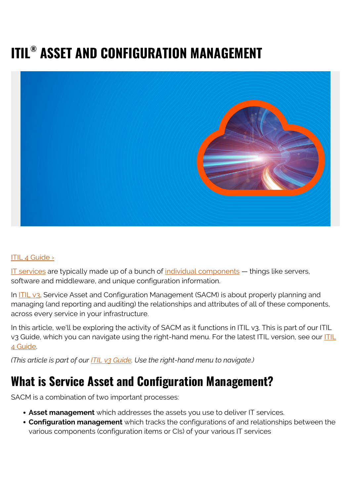# **ITIL® ASSET AND CONFIGURATION MANAGEMENT**



#### [ITIL 4 Guide ›](https://www.bmc.com/blogs/itil-4/)

[IT services](https://www.bmc.com/blogs/itil-service-delivery/) are typically made up of a bunch of  $individual$  components  $-$  things like servers, software and middleware, and unique configuration information.

In ITIL v<sub>3</sub>, Service Asset and Configuration Management (SACM) is about properly planning and managing (and reporting and auditing) the relationships and attributes of all of these components, across every service in your infrastructure.

In this article, we'll be exploring the activity of SACM as it functions in ITIL v3. This is part of our ITIL v3 Guide, which you can navigate using the right-hand menu. For the latest [ITIL](https://www.bmc.com/blogs/itil-4/) version, see our **ITIL** [4 Guide](https://www.bmc.com/blogs/itil-4/).

*(This article is part of our [ITIL v3 Guide](https://blogs.bmc.com/blogs/itil-v3-introduction/). Use the right-hand menu to navigate.)*

### **What is Service Asset and Configuration Management?**

SACM is a combination of two important processes:

- **Asset management** which addresses the assets you use to deliver IT services.
- **Configuration management** which tracks the configurations of and relationships between the various components (configuration items or CIs) of your various IT services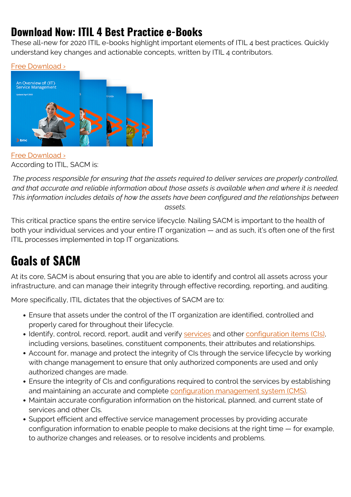### **Download Now: ITIL 4 Best Practice e-Books**

These all-new for 2020 ITIL e-books highlight important elements of ITIL 4 best practices. Quickly understand key changes and actionable concepts, written by ITIL 4 contributors.



[Free Download ›](https://www.bmc.com/forms/itil-free-ebook.html) According to ITIL, SACM is:

*The process responsible for ensuring that the assets required to deliver services are properly controlled, and that accurate and reliable information about those assets is available when and where it is needed. This information includes details of how the assets have been configured and the relationships between assets.*

This critical practice spans the entire service lifecycle. Nailing SACM is important to the health of both your individual services and your entire IT organization — and as such, it's often one of the first ITIL processes implemented in top IT organizations.

# **Goals of SACM**

At its core, SACM is about ensuring that you are able to identify and control all assets across your infrastructure, and can manage their integrity through effective recording, reporting, and auditing.

More specifically, ITIL dictates that the objectives of SACM are to:

- Ensure that assets under the control of the IT organization are identified, controlled and properly cared for throughout their lifecycle.
- Identify, control, record, report, audit and verify [services](https://www.bmc.com/blogs/it-service/) and other [configuration items \(CIs\),](https://www.bmc.com/blogs/ci-configuration-item/) including versions, baselines, constituent components, their attributes and relationships.
- Account for, manage and protect the integrity of CIs through the service lifecycle by working with change management to ensure that only authorized components are used and only authorized changes are made.
- Ensure the integrity of CIs and configurations required to control the services by establishing and maintaining an accurate and complete [configuration management system \(CMS\)](https://www.bmc.com/blogs/configuration-management/).
- Maintain accurate configuration information on the historical, planned, and current state of services and other CIs.
- Support efficient and effective service management processes by providing accurate configuration information to enable people to make decisions at the right time — for example, to authorize changes and releases, or to resolve incidents and problems.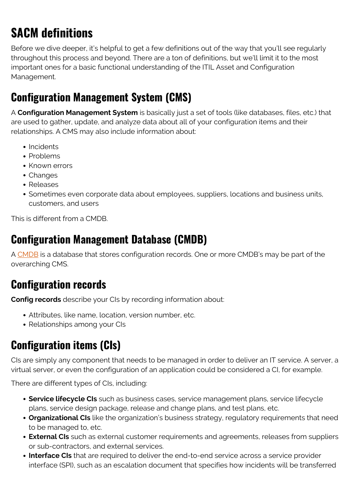# **SACM definitions**

Before we dive deeper, it's helpful to get a few definitions out of the way that you'll see regularly throughout this process and beyond. There are a ton of definitions, but we'll limit it to the most important ones for a basic functional understanding of the ITIL Asset and Configuration Management.

### **Configuration Management System (CMS)**

A **Configuration Management System** is basically just a set of tools (like databases, files, etc.) that are used to gather, update, and analyze data about all of your configuration items and their relationships. A CMS may also include information about:

- Incidents
- Problems
- Known errors
- Changes
- Releases
- Sometimes even corporate data about employees, suppliers, locations and business units, customers, and users

This is different from a CMDB.

#### **Configuration Management Database (CMDB)**

A [CMDB](https://www.bmc.com/blogs/what-is-a-cmdb-and-how-to-optimize-it-for-service-delivery/) is a database that stores configuration records. One or more CMDB's may be part of the overarching CMS.

### **Configuration records**

**Config records** describe your CIs by recording information about:

- Attributes, like name, location, version number, etc.
- Relationships among your CIs

### **Configuration items (CIs)**

CIs are simply any component that needs to be managed in order to deliver an IT service. A server, a virtual server, or even the configuration of an application could be considered a CI, for example.

There are different types of CIs, including:

- **Service lifecycle CIs** such as business cases, service management plans, service lifecycle plans, service design package, release and change plans, and test plans, etc.
- **Organizational CIs** like the organization's business strategy, regulatory requirements that need to be managed to, etc.
- **External CIs** such as external customer requirements and agreements, releases from suppliers or sub-contractors, and external services.
- **Interface CIs** that are required to deliver the end-to-end service across a service provider interface (SPI), such as an escalation document that specifies how incidents will be transferred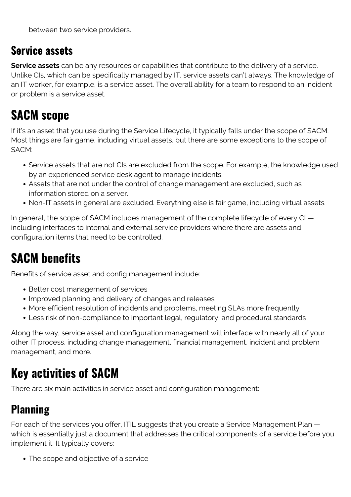### **Service assets**

**Service assets** can be any resources or capabilities that contribute to the delivery of a service. Unlike CIs, which can be specifically managed by IT, service assets can't always. The knowledge of an IT worker, for example, is a service asset. The overall ability for a team to respond to an incident or problem is a service asset.

# **SACM scope**

If it's an asset that you use during the Service Lifecycle, it typically falls under the scope of SACM. Most things are fair game, including virtual assets, but there are some exceptions to the scope of SACM:

- Service assets that are not CIs are excluded from the scope. For example, the knowledge used by an experienced service desk agent to manage incidents.
- Assets that are not under the control of change management are excluded, such as information stored on a server.
- Non-IT assets in general are excluded. Everything else is fair game, including virtual assets.

In general, the scope of SACM includes management of the complete lifecycle of every CI including interfaces to internal and external service providers where there are assets and configuration items that need to be controlled.

# **SACM benefits**

Benefits of service asset and config management include:

- Better cost management of services
- Improved planning and delivery of changes and releases
- More efficient resolution of incidents and problems, meeting SLAs more frequently
- Less risk of non-compliance to important legal, regulatory, and procedural standards

Along the way, service asset and configuration management will interface with nearly all of your other IT process, including change management, financial management, incident and problem management, and more.

# **Key activities of SACM**

There are six main activities in service asset and configuration management:

### **Planning**

For each of the services you offer, ITIL suggests that you create a Service Management Plan which is essentially just a document that addresses the critical components of a service before you implement it. It typically covers:

• The scope and objective of a service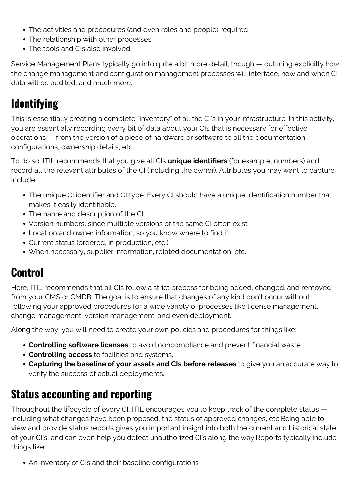- The activities and procedures (and even roles and people) required
- The relationship with other processes
- The tools and CIs also involved

Service Management Plans typically go into quite a bit more detail, though — outlining explicitly how the change management and configuration management processes will interface, how and when CI data will be audited, and much more.

### **Identifying**

This is essentially creating a complete "inventory" of all the CI's in your infrastructure. In this activity, you are essentially recording every bit of data about your CIs that is necessary for effective operations — from the version of a piece of hardware or software to all the documentation, configurations, ownership details, etc.

To do so, ITIL recommends that you give all CIs **unique identifiers** (for example, numbers) and record all the relevant attributes of the CI (including the owner). Attributes you may want to capture include:

- The unique CI identifier and CI type. Every CI should have a unique identification number that makes it easily identifiable.
- The name and description of the CI
- Version numbers, since multiple versions of the same CI often exist
- Location and owner information, so you know where to find it
- Current status (ordered, in production, etc.)
- When necessary, supplier information, related documentation, etc.

### **Control**

Here, ITIL recommends that all CIs follow a strict process for being added, changed, and removed from your CMS or CMDB. The goal is to ensure that changes of any kind don't occur without following your approved procedures for a wide variety of processes like license management, change management, version management, and even deployment.

Along the way, you will need to create your own policies and procedures for things like:

- **Controlling software licenses** to avoid noncompliance and prevent financial waste.
- **Controlling access** to facilities and systems.
- **Capturing the baseline of your assets and CIs before releases** to give you an accurate way to verify the success of actual deployments.

### **Status accounting and reporting**

Throughout the lifecycle of every CI, ITIL encourages you to keep track of the complete status including what changes have been proposed, the status of approved changes, etc.Being able to view and provide status reports gives you important insight into both the current and historical state of your CI's, and can even help you detect unauthorized CI's along the way.Reports typically include things like:

• An inventory of CIs and their baseline configurations